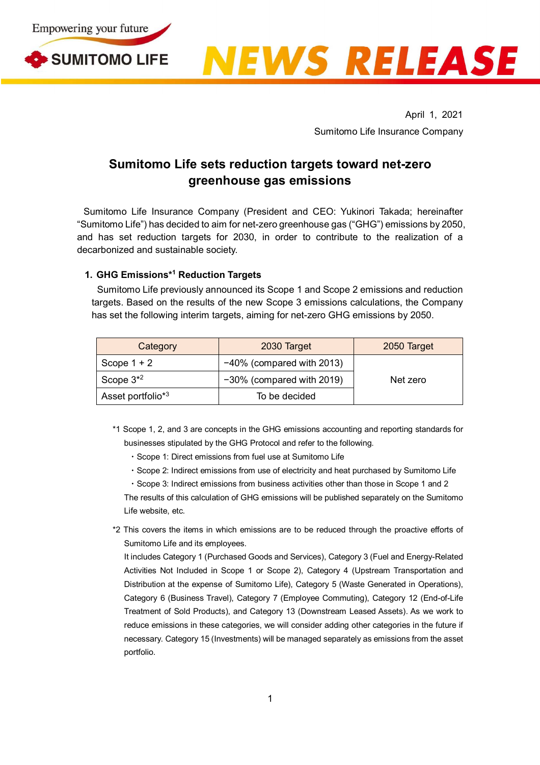



April 1, 2021 Sumitomo Life Insurance Company

# **Sumitomo Life sets reduction targets toward net-zero greenhouse gas emissions**

Sumitomo Life Insurance Company (President and CEO: Yukinori Takada; hereinafter "Sumitomo Life") has decided to aim for net-zero greenhouse gas ("GHG") emissions by 2050, and has set reduction targets for 2030, in order to contribute to the realization of a decarbonized and sustainable society.

# **1. GHG Emissions\* <sup>1</sup> Reduction Targets**

Sumitomo Life previously announced its Scope 1 and Scope 2 emissions and reduction targets. Based on the results of the new Scope 3 emissions calculations, the Company has set the following interim targets, aiming for net-zero GHG emissions by 2050.

| Category          | 2030 Target                  | 2050 Target |
|-------------------|------------------------------|-------------|
| Scope $1+2$       | $-40\%$ (compared with 2013) |             |
| Scope $3*2$       | $-30\%$ (compared with 2019) | Net zero    |
| Asset portfolio*3 | To be decided                |             |

- \*1 Scope 1, 2, and 3 are concepts in the GHG emissions accounting and reporting standards for businesses stipulated by the GHG Protocol and refer to the following.
	- ・Scope 1: Direct emissions from fuel use at Sumitomo Life
	- ・Scope 2: Indirect emissions from use of electricity and heat purchased by Sumitomo Life
	- ・Scope 3: Indirect emissions from business activities other than those in Scope 1 and 2

The results of this calculation of GHG emissions will be published separately on the Sumitomo Life website, etc.

\*2 This covers the items in which emissions are to be reduced through the proactive efforts of Sumitomo Life and its employees.

It includes Category 1 (Purchased Goods and Services), Category 3 (Fuel and Energy-Related Activities Not Included in Scope 1 or Scope 2), Category 4 (Upstream Transportation and Distribution at the expense of Sumitomo Life), Category 5 (Waste Generated in Operations), Category 6 (Business Travel), Category 7 (Employee Commuting), Category 12 (End-of-Life Treatment of Sold Products), and Category 13 (Downstream Leased Assets). As we work to reduce emissions in these categories, we will consider adding other categories in the future if necessary. Category 15 (Investments) will be managed separately as emissions from the asset portfolio.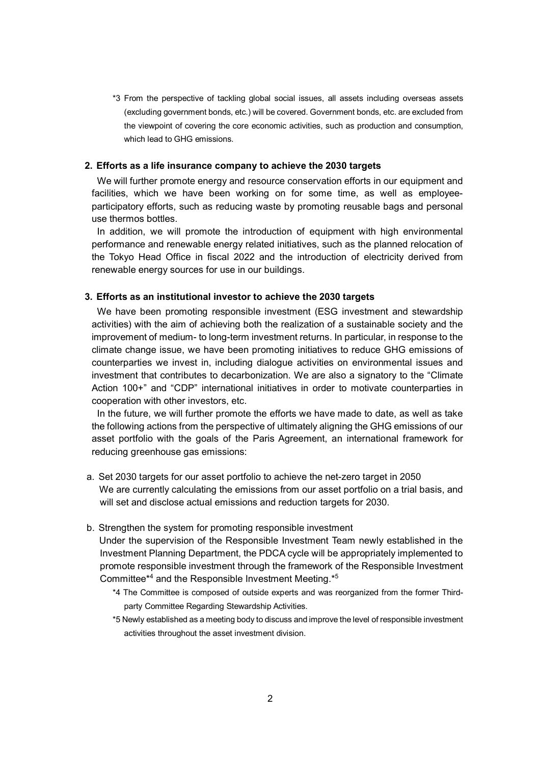\*3 From the perspective of tackling global social issues, all assets including overseas assets (excluding government bonds, etc.) will be covered. Government bonds, etc. are excluded from the viewpoint of covering the core economic activities, such as production and consumption, which lead to GHG emissions.

### **2. Efforts as a life insurance company to achieve the 2030 targets**

We will further promote energy and resource conservation efforts in our equipment and facilities, which we have been working on for some time, as well as employeeparticipatory efforts, such as reducing waste by promoting reusable bags and personal use thermos bottles.

In addition, we will promote the introduction of equipment with high environmental performance and renewable energy related initiatives, such as the planned relocation of the Tokyo Head Office in fiscal 2022 and the introduction of electricity derived from renewable energy sources for use in our buildings.

## **3. Efforts as an institutional investor to achieve the 2030 targets**

We have been promoting responsible investment (ESG investment and stewardship activities) with the aim of achieving both the realization of a sustainable society and the improvement of medium- to long-term investment returns. In particular, in response to the climate change issue, we have been promoting initiatives to reduce GHG emissions of counterparties we invest in, including dialogue activities on environmental issues and investment that contributes to decarbonization. We are also a signatory to the "Climate Action 100+" and "CDP" international initiatives in order to motivate counterparties in cooperation with other investors, etc.

In the future, we will further promote the efforts we have made to date, as well as take the following actions from the perspective of ultimately aligning the GHG emissions of our asset portfolio with the goals of the Paris Agreement, an international framework for reducing greenhouse gas emissions:

a. Set 2030 targets for our asset portfolio to achieve the net-zero target in 2050 We are currently calculating the emissions from our asset portfolio on a trial basis, and will set and disclose actual emissions and reduction targets for 2030.

#### b. Strengthen the system for promoting responsible investment

Under the supervision of the Responsible Investment Team newly established in the Investment Planning Department, the PDCA cycle will be appropriately implemented to promote responsible investment through the framework of the Responsible Investment Committee\* <sup>4</sup> and the Responsible Investment Meeting.\* 5

- \*4 The Committee is composed of outside experts and was reorganized from the former Thirdparty Committee Regarding Stewardship Activities.
- \*5 Newly established as a meeting body to discuss and improve the level of responsible investment activities throughout the asset investment division.